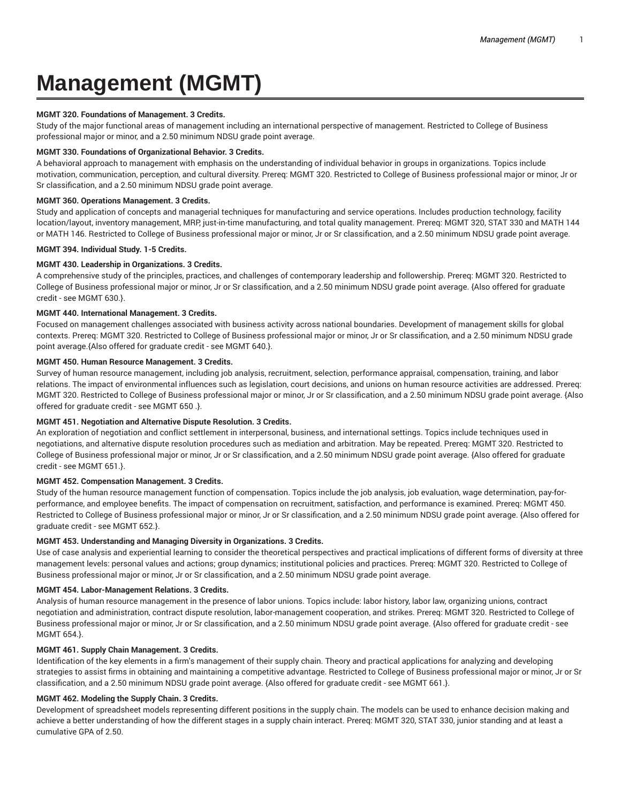# **Management (MGMT)**

## **MGMT 320. Foundations of Management. 3 Credits.**

Study of the major functional areas of management including an international perspective of management. Restricted to College of Business professional major or minor, and a 2.50 minimum NDSU grade point average.

## **MGMT 330. Foundations of Organizational Behavior. 3 Credits.**

A behavioral approach to management with emphasis on the understanding of individual behavior in groups in organizations. Topics include motivation, communication, perception, and cultural diversity. Prereq: MGMT 320. Restricted to College of Business professional major or minor, Jr or Sr classification, and a 2.50 minimum NDSU grade point average.

# **MGMT 360. Operations Management. 3 Credits.**

Study and application of concepts and managerial techniques for manufacturing and service operations. Includes production technology, facility location/layout, inventory management, MRP, just-in-time manufacturing, and total quality management. Prereq: MGMT 320, STAT 330 and MATH 144 or MATH 146. Restricted to College of Business professional major or minor, Jr or Sr classification, and a 2.50 minimum NDSU grade point average.

## **MGMT 394. Individual Study. 1-5 Credits.**

## **MGMT 430. Leadership in Organizations. 3 Credits.**

A comprehensive study of the principles, practices, and challenges of contemporary leadership and followership. Prereq: MGMT 320. Restricted to College of Business professional major or minor, Jr or Sr classification, and a 2.50 minimum NDSU grade point average. {Also offered for graduate credit - see MGMT 630.}.

# **MGMT 440. International Management. 3 Credits.**

Focused on management challenges associated with business activity across national boundaries. Development of management skills for global contexts. Prereq: MGMT 320. Restricted to College of Business professional major or minor, Jr or Sr classification, and a 2.50 minimum NDSU grade point average.{Also offered for graduate credit - see MGMT 640.}.

# **MGMT 450. Human Resource Management. 3 Credits.**

Survey of human resource management, including job analysis, recruitment, selection, performance appraisal, compensation, training, and labor relations. The impact of environmental influences such as legislation, court decisions, and unions on human resource activities are addressed. Prereq: MGMT 320. Restricted to College of Business professional major or minor, Jr or Sr classification, and a 2.50 minimum NDSU grade point average. {Also offered for graduate credit - see MGMT 650 .}.

## **MGMT 451. Negotiation and Alternative Dispute Resolution. 3 Credits.**

An exploration of negotiation and conflict settlement in interpersonal, business, and international settings. Topics include techniques used in negotiations, and alternative dispute resolution procedures such as mediation and arbitration. May be repeated. Prereq: MGMT 320. Restricted to College of Business professional major or minor, Jr or Sr classification, and a 2.50 minimum NDSU grade point average. {Also offered for graduate credit - see MGMT 651.}.

## **MGMT 452. Compensation Management. 3 Credits.**

Study of the human resource management function of compensation. Topics include the job analysis, job evaluation, wage determination, pay-forperformance, and employee benefits. The impact of compensation on recruitment, satisfaction, and performance is examined. Prereq: MGMT 450. Restricted to College of Business professional major or minor, Jr or Sr classification, and a 2.50 minimum NDSU grade point average. {Also offered for graduate credit - see MGMT 652.}.

# **MGMT 453. Understanding and Managing Diversity in Organizations. 3 Credits.**

Use of case analysis and experiential learning to consider the theoretical perspectives and practical implications of different forms of diversity at three management levels: personal values and actions; group dynamics; institutional policies and practices. Prereq: MGMT 320. Restricted to College of Business professional major or minor, Jr or Sr classification, and a 2.50 minimum NDSU grade point average.

#### **MGMT 454. Labor-Management Relations. 3 Credits.**

Analysis of human resource management in the presence of labor unions. Topics include: labor history, labor law, organizing unions, contract negotiation and administration, contract dispute resolution, labor-management cooperation, and strikes. Prereq: MGMT 320. Restricted to College of Business professional major or minor, Jr or Sr classification, and a 2.50 minimum NDSU grade point average. {Also offered for graduate credit - see MGMT 654.}.

#### **MGMT 461. Supply Chain Management. 3 Credits.**

Identification of the key elements in a firm's management of their supply chain. Theory and practical applications for analyzing and developing strategies to assist firms in obtaining and maintaining a competitive advantage. Restricted to College of Business professional major or minor, Jr or Sr classification, and a 2.50 minimum NDSU grade point average. {Also offered for graduate credit - see MGMT 661.}.

#### **MGMT 462. Modeling the Supply Chain. 3 Credits.**

Development of spreadsheet models representing different positions in the supply chain. The models can be used to enhance decision making and achieve a better understanding of how the different stages in a supply chain interact. Prereq: MGMT 320, STAT 330, junior standing and at least a cumulative GPA of 2.50.